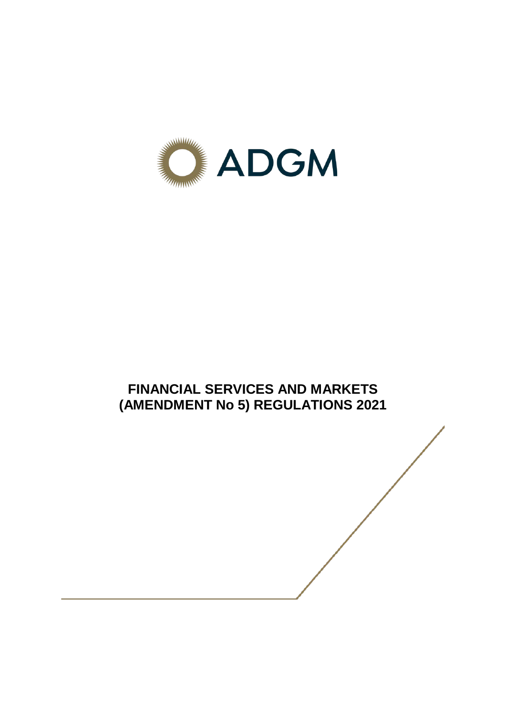

# **FINANCIAL SERVICES AND MARKETS (AMENDMENT No 5) REGULATIONS 2021**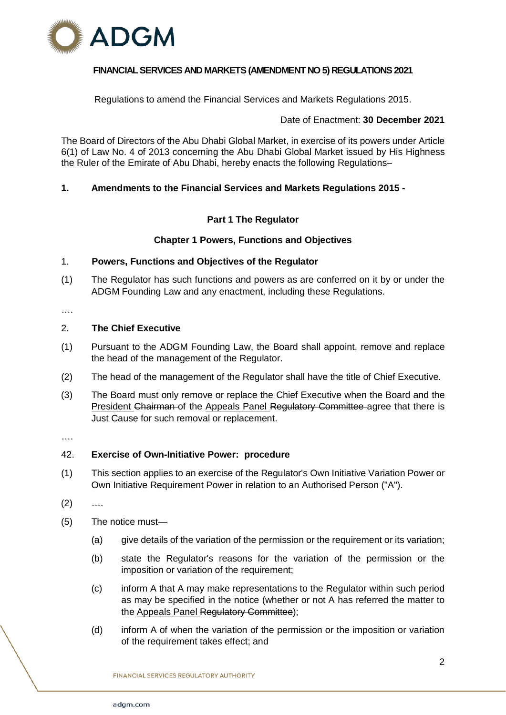

# **FINANCIAL SERVICES AND MARKETS (AMENDMENT NO 5) REGULATIONS 2021**

Regulations to amend the Financial Services and Markets Regulations 2015.

# Date of Enactment: **30 December 2021**

The Board of Directors of the Abu Dhabi Global Market, in exercise of its powers under Article 6(1) of Law No. 4 of 2013 concerning the Abu Dhabi Global Market issued by His Highness the Ruler of the Emirate of Abu Dhabi, hereby enacts the following Regulations–

# **1. Amendments to the Financial Services and Markets Regulations 2015 -**

# **Part 1 The Regulator**

# **Chapter 1 Powers, Functions and Objectives**

# 1. **Powers, Functions and Objectives of the Regulator**

- (1) The Regulator has such functions and powers as are conferred on it by or under the ADGM Founding Law and any enactment, including these Regulations.
- ….

## 2. **The Chief Executive**

- (1) Pursuant to the ADGM Founding Law, the Board shall appoint, remove and replace the head of the management of the Regulator.
- (2) The head of the management of the Regulator shall have the title of Chief Executive.
- (3) The Board must only remove or replace the Chief Executive when the Board and the President Chairman of the Appeals Panel Regulatory Committee agree that there is Just Cause for such removal or replacement.
- ….

## 42. **Exercise of Own-Initiative Power: procedure**

- (1) This section applies to an exercise of the Regulator's Own Initiative Variation Power or Own Initiative Requirement Power in relation to an Authorised Person ("A").
- $(2)$  ....
- (5) The notice must—
	- (a) give details of the variation of the permission or the requirement or its variation;
	- (b) state the Regulator's reasons for the variation of the permission or the imposition or variation of the requirement;
	- (c) inform A that A may make representations to the Regulator within such period as may be specified in the notice (whether or not A has referred the matter to the Appeals Panel Regulatory Committee);
	- (d) inform A of when the variation of the permission or the imposition or variation of the requirement takes effect; and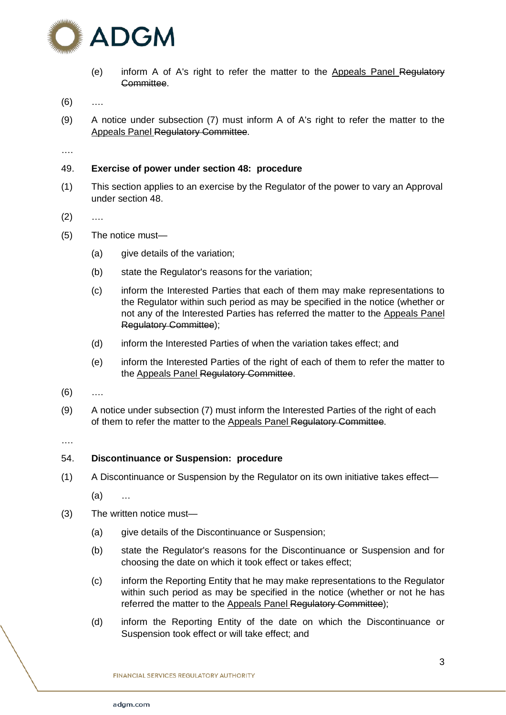

- (e) inform A of A's right to refer the matter to the Appeals Panel Regulatory Committee.
- $(6)$  ...
- (9) A notice under subsection (7) must inform A of A's right to refer the matter to the Appeals Panel Regulatory Committee.

….

# 49. **Exercise of power under section 48: procedure**

(1) This section applies to an exercise by the Regulator of the power to vary an Approval under section 48.

 $(2)$  ....

- (5) The notice must—
	- (a) give details of the variation;
	- (b) state the Regulator's reasons for the variation;
	- (c) inform the Interested Parties that each of them may make representations to the Regulator within such period as may be specified in the notice (whether or not any of the Interested Parties has referred the matter to the Appeals Panel Regulatory Committee);
	- (d) inform the Interested Parties of when the variation takes effect; and
	- (e) inform the Interested Parties of the right of each of them to refer the matter to the Appeals Panel Regulatory Committee.
- (6) ….
- (9) A notice under subsection (7) must inform the Interested Parties of the right of each of them to refer the matter to the Appeals Panel Regulatory Committee.

….

## 54. **Discontinuance or Suspension: procedure**

(1) A Discontinuance or Suspension by the Regulator on its own initiative takes effect—

(a) …

- (3) The written notice must—
	- (a) give details of the Discontinuance or Suspension;
	- (b) state the Regulator's reasons for the Discontinuance or Suspension and for choosing the date on which it took effect or takes effect;
	- (c) inform the Reporting Entity that he may make representations to the Regulator within such period as may be specified in the notice (whether or not he has referred the matter to the Appeals Panel Regulatory Committee);
	- (d) inform the Reporting Entity of the date on which the Discontinuance or Suspension took effect or will take effect; and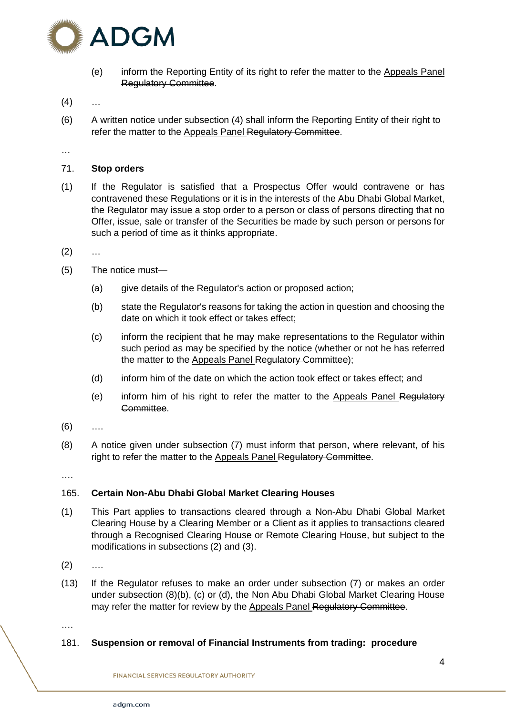

- (e) inform the Reporting Entity of its right to refer the matter to the Appeals Panel Regulatory Committee.
- $(4)$  ...
- (6) A written notice under subsection (4) shall inform the Reporting Entity of their right to refer the matter to the Appeals Panel Regulatory Committee.
- …

# 71. **Stop orders**

- (1) If the Regulator is satisfied that a Prospectus Offer would contravene or has contravened these Regulations or it is in the interests of the Abu Dhabi Global Market, the Regulator may issue a stop order to a person or class of persons directing that no Offer, issue, sale or transfer of the Securities be made by such person or persons for such a period of time as it thinks appropriate.
- $(2)$  ...
- (5) The notice must—
	- (a) give details of the Regulator's action or proposed action;
	- (b) state the Regulator's reasons for taking the action in question and choosing the date on which it took effect or takes effect;
	- (c) inform the recipient that he may make representations to the Regulator within such period as may be specified by the notice (whether or not he has referred the matter to the Appeals Panel Regulatory Committee):
	- (d) inform him of the date on which the action took effect or takes effect; and
	- (e) inform him of his right to refer the matter to the Appeals Panel Regulatory Committee.
- $(6)$  ...
- (8) A notice given under subsection (7) must inform that person, where relevant, of his right to refer the matter to the Appeals Panel Regulatory Committee.
- ….

# 165. **Certain Non-Abu Dhabi Global Market Clearing Houses**

- (1) This Part applies to transactions cleared through a Non-Abu Dhabi Global Market Clearing House by a Clearing Member or a Client as it applies to transactions cleared through a Recognised Clearing House or Remote Clearing House, but subject to the modifications in subsections (2) and (3).
- $(2)$  ....
- (13) If the Regulator refuses to make an order under subsection (7) or makes an order under subsection (8)(b), (c) or (d), the Non Abu Dhabi Global Market Clearing House may refer the matter for review by the Appeals Panel Regulatory Committee.

….

## 181. **Suspension or removal of Financial Instruments from trading: procedure**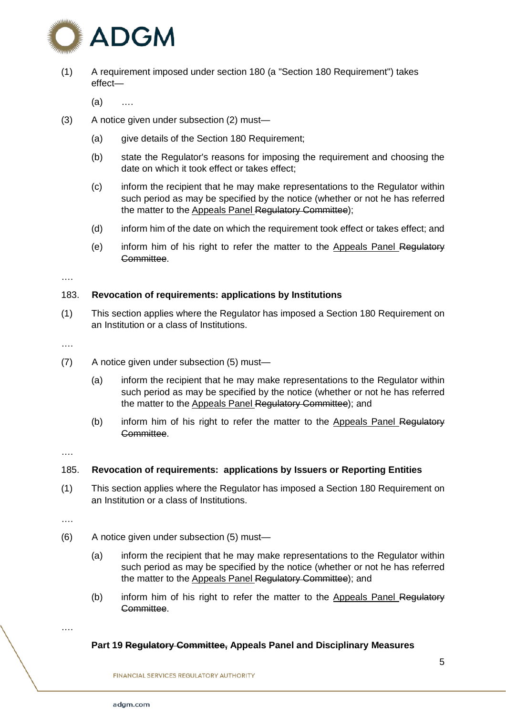

(1) A requirement imposed under section 180 (a "Section 180 Requirement") takes effect—

(a) ….

- (3) A notice given under subsection (2) must—
	- (a) give details of the Section 180 Requirement;
	- (b) state the Regulator's reasons for imposing the requirement and choosing the date on which it took effect or takes effect;
	- (c) inform the recipient that he may make representations to the Regulator within such period as may be specified by the notice (whether or not he has referred the matter to the Appeals Panel Regulatory Committee);
	- (d) inform him of the date on which the requirement took effect or takes effect; and
	- (e) inform him of his right to refer the matter to the Appeals Panel Regulatory Committee.

….

# 183. **Revocation of requirements: applications by Institutions**

(1) This section applies where the Regulator has imposed a Section 180 Requirement on an Institution or a class of Institutions.

….

- (7) A notice given under subsection (5) must—
	- (a) inform the recipient that he may make representations to the Regulator within such period as may be specified by the notice (whether or not he has referred the matter to the Appeals Panel Regulatory Committee); and
	- (b) inform him of his right to refer the matter to the Appeals Panel Regulatory Committee.

….

## 185. **Revocation of requirements: applications by Issuers or Reporting Entities**

(1) This section applies where the Regulator has imposed a Section 180 Requirement on an Institution or a class of Institutions.

….

- (6) A notice given under subsection (5) must—
	- (a) inform the recipient that he may make representations to the Regulator within such period as may be specified by the notice (whether or not he has referred the matter to the Appeals Panel Regulatory Committee); and
	- (b) inform him of his right to refer the matter to the Appeals Panel Regulatory Committee.

….

# **Part 19 Regulatory Committee, Appeals Panel and Disciplinary Measures**

**FINANCIAL SERVICES REGULATORY AUTHORITY**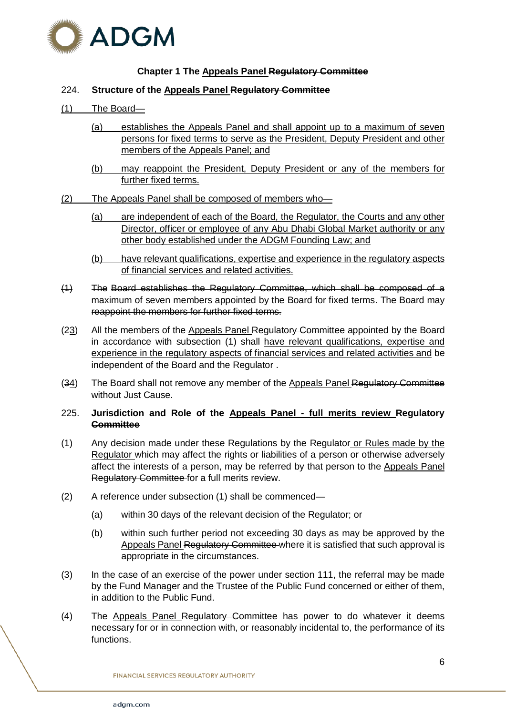

# **Chapter 1 The Appeals Panel Regulatory Committee**

# 224. **Structure of the Appeals Panel Regulatory Committee**

# (1) The Board—

- (a) establishes the Appeals Panel and shall appoint up to a maximum of seven persons for fixed terms to serve as the President, Deputy President and other members of the Appeals Panel; and
- (b) may reappoint the President, Deputy President or any of the members for further fixed terms.
- (2) The Appeals Panel shall be composed of members who—
	- (a) are independent of each of the Board, the Regulator, the Courts and any other Director, officer or employee of any Abu Dhabi Global Market authority or any other body established under the ADGM Founding Law; and
	- (b) have relevant qualifications, expertise and experience in the regulatory aspects of financial services and related activities.
- (1) The Board establishes the Regulatory Committee, which shall be composed of a maximum of seven members appointed by the Board for fixed terms. The Board may reappoint the members for further fixed terms.
- (23) All the members of the Appeals Panel Regulatory Committee appointed by the Board in accordance with subsection (1) shall have relevant qualifications, expertise and experience in the regulatory aspects of financial services and related activities and be independent of the Board and the Regulator .
- (34) The Board shall not remove any member of the Appeals Panel Regulatory Committee without Just Cause.

# 225. **Jurisdiction and Role of the Appeals Panel - full merits review Regulatory Committee**

- (1) Any decision made under these Regulations by the Regulator or Rules made by the Regulator which may affect the rights or liabilities of a person or otherwise adversely affect the interests of a person, may be referred by that person to the Appeals Panel Regulatory Committee for a full merits review.
- (2) A reference under subsection (1) shall be commenced—
	- (a) within 30 days of the relevant decision of the Regulator; or
	- (b) within such further period not exceeding 30 days as may be approved by the Appeals Panel Regulatory Committee where it is satisfied that such approval is appropriate in the circumstances.
- (3) In the case of an exercise of the power under section 111, the referral may be made by the Fund Manager and the Trustee of the Public Fund concerned or either of them, in addition to the Public Fund.
- (4) The Appeals Panel Regulatory Committee has power to do whatever it deems necessary for or in connection with, or reasonably incidental to, the performance of its functions.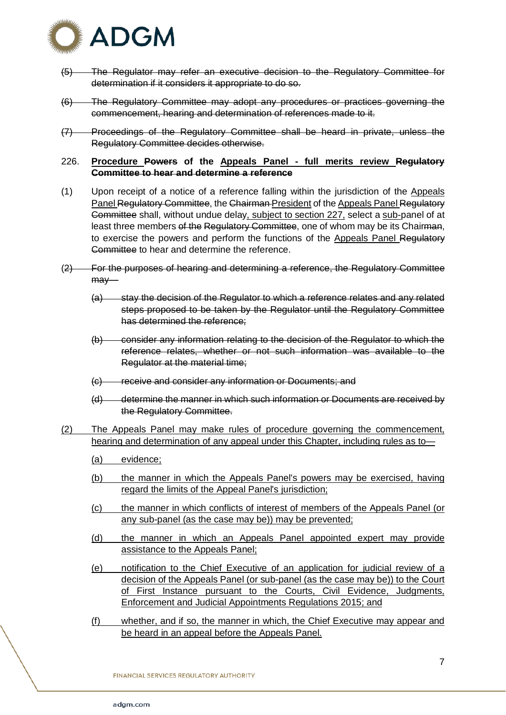

- (5) The Regulator may refer an executive decision to the Regulatory Committee for determination if it considers it appropriate to do so.
- (6) The Regulatory Committee may adopt any procedures or practices governing the commencement, hearing and determination of references made to it.
- (7) Proceedings of the Regulatory Committee shall be heard in private, unless the Regulatory Committee decides otherwise.
- 226. **Procedure Powers of the Appeals Panel - full merits review Regulatory Committee to hear and determine a reference**
- (1) Upon receipt of a notice of a reference falling within the jurisdiction of the Appeals Panel Regulatory Committee, the Chairman-President of the Appeals Panel Regulatory Committee shall, without undue delay, subject to section 227, select a sub-panel of at least three members of the Regulatory Committee, one of whom may be its Chairman, to exercise the powers and perform the functions of the Appeals Panel Regulatory Committee to hear and determine the reference.
- (2) For the purposes of hearing and determining a reference, the Regulatory Committee may—
	- (a) stay the decision of the Regulator to which a reference relates and any related steps proposed to be taken by the Regulator until the Regulatory Committee has determined the reference;
	- (b) consider any information relating to the decision of the Regulator to which the reference relates, whether or not such information was available to the Regulator at the material time;
	- (c) receive and consider any information or Documents; and
	- (d) determine the manner in which such information or Documents are received by the Regulatory Committee.
- (2) The Appeals Panel may make rules of procedure governing the commencement, hearing and determination of any appeal under this Chapter, including rules as to—
	- (a) evidence;
	- (b) the manner in which the Appeals Panel's powers may be exercised, having regard the limits of the Appeal Panel's jurisdiction;
	- (c) the manner in which conflicts of interest of members of the Appeals Panel (or any sub-panel (as the case may be)) may be prevented;
	- (d) the manner in which an Appeals Panel appointed expert may provide assistance to the Appeals Panel;
	- (e) notification to the Chief Executive of an application for judicial review of a decision of the Appeals Panel (or sub-panel (as the case may be)) to the Court of First Instance pursuant to the Courts, Civil Evidence, Judgments, Enforcement and Judicial Appointments Regulations 2015; and
	- (f) whether, and if so, the manner in which, the Chief Executive may appear and be heard in an appeal before the Appeals Panel.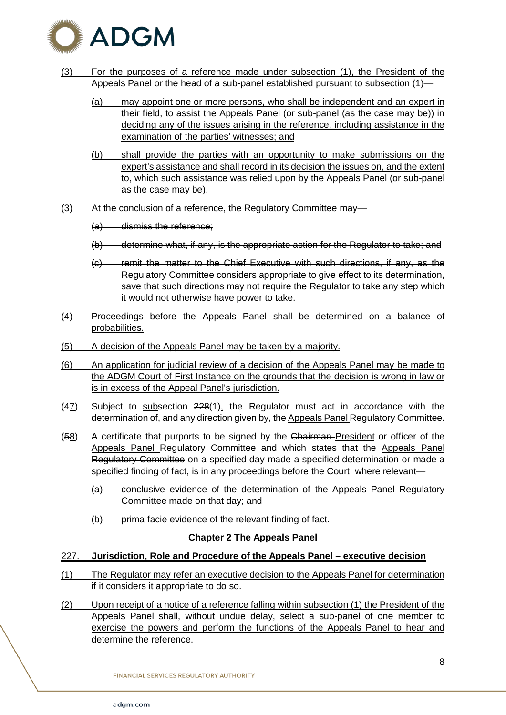

- (3) For the purposes of a reference made under subsection (1), the President of the Appeals Panel or the head of a sub-panel established pursuant to subsection (1)—
	- (a) may appoint one or more persons, who shall be independent and an expert in their field, to assist the Appeals Panel (or sub-panel (as the case may be)) in deciding any of the issues arising in the reference, including assistance in the examination of the parties' witnesses; and
	- (b) shall provide the parties with an opportunity to make submissions on the expert's assistance and shall record in its decision the issues on, and the extent to, which such assistance was relied upon by the Appeals Panel (or sub-panel as the case may be).
- (3) At the conclusion of a reference, the Regulatory Committee may—
	- (a) dismiss the reference;
	- (b) determine what, if any, is the appropriate action for the Regulator to take; and
	- (c) remit the matter to the Chief Executive with such directions, if any, as the Regulatory Committee considers appropriate to give effect to its determination, save that such directions may not require the Regulator to take any step which it would not otherwise have power to take.
- (4) Proceedings before the Appeals Panel shall be determined on a balance of probabilities.
- (5) A decision of the Appeals Panel may be taken by a majority.
- (6) An application for judicial review of a decision of the Appeals Panel may be made to the ADGM Court of First Instance on the grounds that the decision is wrong in law or is in excess of the Appeal Panel's jurisdiction.
- $(47)$  Subject to subsection  $228(1)$ , the Regulator must act in accordance with the determination of, and any direction given by, the Appeals Panel Regulatory Committee.
- (58) A certificate that purports to be signed by the Chairman-President or officer of the Appeals Panel Regulatory Committee and which states that the Appeals Panel Regulatory Committee on a specified day made a specified determination or made a specified finding of fact, is in any proceedings before the Court, where relevant—
	- (a) conclusive evidence of the determination of the Appeals Panel Regulatory Committee made on that day; and
	- (b) prima facie evidence of the relevant finding of fact.

## **Chapter 2 The Appeals Panel**

# 227. **Jurisdiction, Role and Procedure of the Appeals Panel – executive decision**

- (1) The Regulator may refer an executive decision to the Appeals Panel for determination if it considers it appropriate to do so.
- (2) Upon receipt of a notice of a reference falling within subsection (1) the President of the Appeals Panel shall, without undue delay, select a sub-panel of one member to exercise the powers and perform the functions of the Appeals Panel to hear and determine the reference.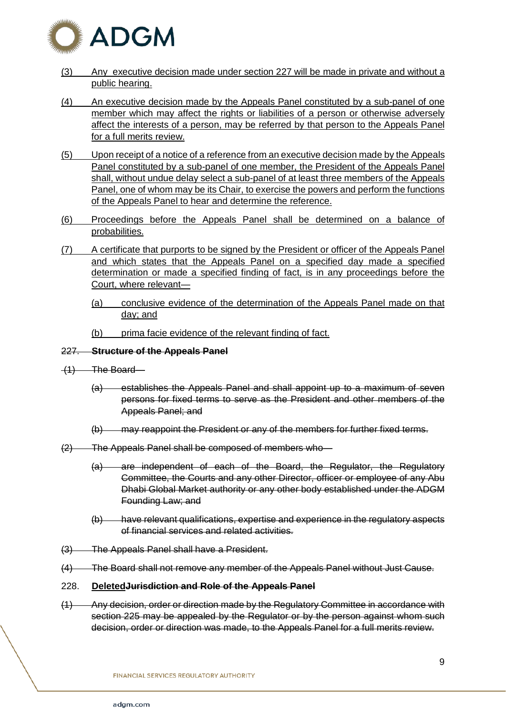

- (3) Any executive decision made under section 227 will be made in private and without a public hearing.
- (4) An executive decision made by the Appeals Panel constituted by a sub-panel of one member which may affect the rights or liabilities of a person or otherwise adversely affect the interests of a person, may be referred by that person to the Appeals Panel for a full merits review.
- (5) Upon receipt of a notice of a reference from an executive decision made by the Appeals Panel constituted by a sub-panel of one member, the President of the Appeals Panel shall, without undue delay select a sub-panel of at least three members of the Appeals Panel, one of whom may be its Chair, to exercise the powers and perform the functions of the Appeals Panel to hear and determine the reference.
- (6) Proceedings before the Appeals Panel shall be determined on a balance of probabilities.
- (7) A certificate that purports to be signed by the President or officer of the Appeals Panel and which states that the Appeals Panel on a specified day made a specified determination or made a specified finding of fact, is in any proceedings before the Court, where relevant—
	- (a) conclusive evidence of the determination of the Appeals Panel made on that day; and
	- (b) prima facie evidence of the relevant finding of fact.

# 227. **Structure of the Appeals Panel**

- (1) The Board—
	- (a) establishes the Appeals Panel and shall appoint up to a maximum of seven persons for fixed terms to serve as the President and other members of the Appeals Panel; and
	- (b) may reappoint the President or any of the members for further fixed terms.
- (2) The Appeals Panel shall be composed of members who—
	- (a) are independent of each of the Board, the Regulator, the Regulatory Committee, the Courts and any other Director, officer or employee of any Abu Dhabi Global Market authority or any other body established under the ADGM Founding Law; and
	- (b) have relevant qualifications, expertise and experience in the regulatory aspects of financial services and related activities.
- (3) The Appeals Panel shall have a President.
- (4) The Board shall not remove any member of the Appeals Panel without Just Cause.
- 228. **DeletedJurisdiction and Role of the Appeals Panel**
- (1) Any decision, order or direction made by the Regulatory Committee in accordance with section 225 may be appealed by the Regulator or by the person against whom such decision, order or direction was made, to the Appeals Panel for a full merits review.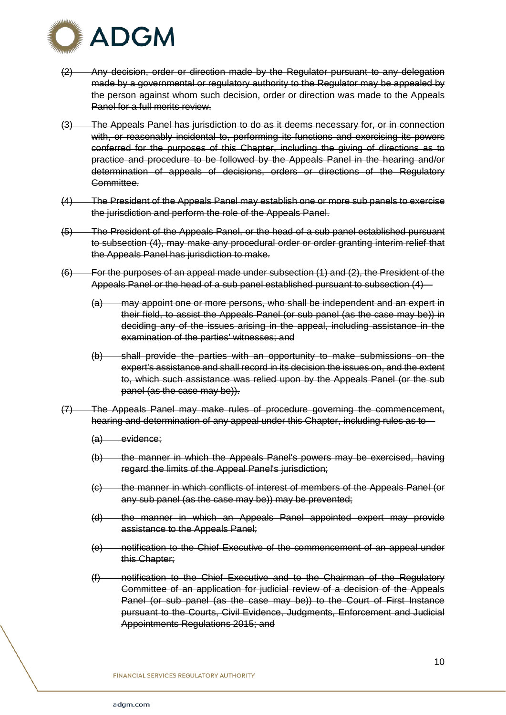

- (2) Any decision, order or direction made by the Regulator pursuant to any delegation made by a governmental or regulatory authority to the Regulator may be appealed by the person against whom such decision, order or direction was made to the Appeals Panel for a full merits review.
- (3) The Appeals Panel has jurisdiction to do as it deems necessary for, or in connection with, or reasonably incidental to, performing its functions and exercising its powers conferred for the purposes of this Chapter, including the giving of directions as to practice and procedure to be followed by the Appeals Panel in the hearing and/or determination of appeals of decisions, orders or directions of the Regulatory Committee.
- (4) The President of the Appeals Panel may establish one or more sub panels to exercise the jurisdiction and perform the role of the Appeals Panel.
- (5) The President of the Appeals Panel, or the head of a sub panel established pursuant to subsection (4), may make any procedural order or order granting interim relief that the Appeals Panel has jurisdiction to make.
- (6) For the purposes of an appeal made under subsection (1) and (2), the President of the Appeals Panel or the head of a sub panel established pursuant to subsection (4)—
	- (a) may appoint one or more persons, who shall be independent and an expert in their field, to assist the Appeals Panel (or sub panel (as the case may be)) in deciding any of the issues arising in the appeal, including assistance in the examination of the parties' witnesses; and
	- (b) shall provide the parties with an opportunity to make submissions on the expert's assistance and shall record in its decision the issues on, and the extent to, which such assistance was relied upon by the Appeals Panel (or the sub panel (as the case may be)).
- (7) The Appeals Panel may make rules of procedure governing the commencement, hearing and determination of any appeal under this Chapter, including rules as to—
	- (a) evidence;
	- (b) the manner in which the Appeals Panel's powers may be exercised, having regard the limits of the Appeal Panel's jurisdiction;
	- (c) the manner in which conflicts of interest of members of the Appeals Panel (or any sub panel (as the case may be)) may be prevented;
	- (d) the manner in which an Appeals Panel appointed expert may provide assistance to the Appeals Panel;
	- (e) notification to the Chief Executive of the commencement of an appeal under this Chapter;
	- (f) notification to the Chief Executive and to the Chairman of the Regulatory Committee of an application for judicial review of a decision of the Appeals Panel (or sub panel (as the case may be)) to the Court of First Instance pursuant to the Courts, Civil Evidence, Judgments, Enforcement and Judicial Appointments Regulations 2015; and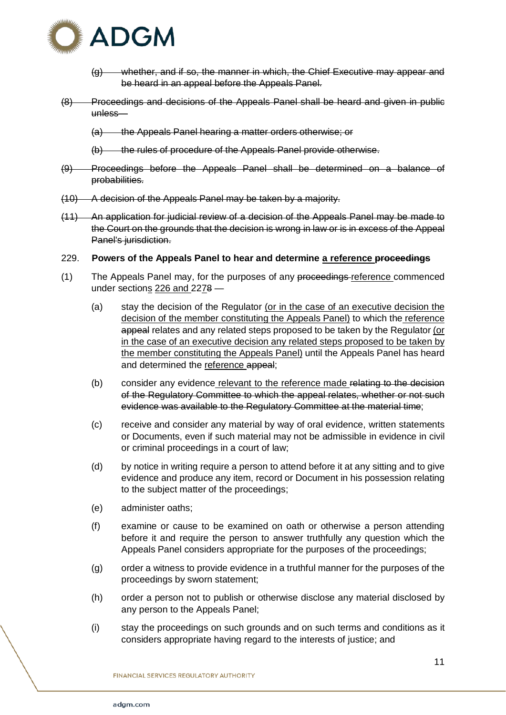

- (g) whether, and if so, the manner in which, the Chief Executive may appear and be heard in an appeal before the Appeals Panel.
- (8) Proceedings and decisions of the Appeals Panel shall be heard and given in public unless—
	- (a) the Appeals Panel hearing a matter orders otherwise; or
	- (b) the rules of procedure of the Appeals Panel provide otherwise.
- (9) Proceedings before the Appeals Panel shall be determined on a balance of probabilities.
- (10) A decision of the Appeals Panel may be taken by a majority.
- (11) An application for judicial review of a decision of the Appeals Panel may be made to the Court on the grounds that the decision is wrong in law or is in excess of the Appeal Panel's jurisdiction.
- 229. **Powers of the Appeals Panel to hear and determine a reference proceedings**
- (1) The Appeals Panel may, for the purposes of any proceedings-reference commenced under sections 226 and 2278 —
	- (a) stay the decision of the Regulator (or in the case of an executive decision the decision of the member constituting the Appeals Panel) to which the reference appeal relates and any related steps proposed to be taken by the Regulator (or in the case of an executive decision any related steps proposed to be taken by the member constituting the Appeals Panel) until the Appeals Panel has heard and determined the reference appeal;
	- (b) consider any evidence relevant to the reference made relating to the decision of the Regulatory Committee to which the appeal relates, whether or not such evidence was available to the Regulatory Committee at the material time;
	- (c) receive and consider any material by way of oral evidence, written statements or Documents, even if such material may not be admissible in evidence in civil or criminal proceedings in a court of law;
	- (d) by notice in writing require a person to attend before it at any sitting and to give evidence and produce any item, record or Document in his possession relating to the subject matter of the proceedings;
	- (e) administer oaths;
	- (f) examine or cause to be examined on oath or otherwise a person attending before it and require the person to answer truthfully any question which the Appeals Panel considers appropriate for the purposes of the proceedings;
	- (g) order a witness to provide evidence in a truthful manner for the purposes of the proceedings by sworn statement;
	- (h) order a person not to publish or otherwise disclose any material disclosed by any person to the Appeals Panel;
	- (i) stay the proceedings on such grounds and on such terms and conditions as it considers appropriate having regard to the interests of justice; and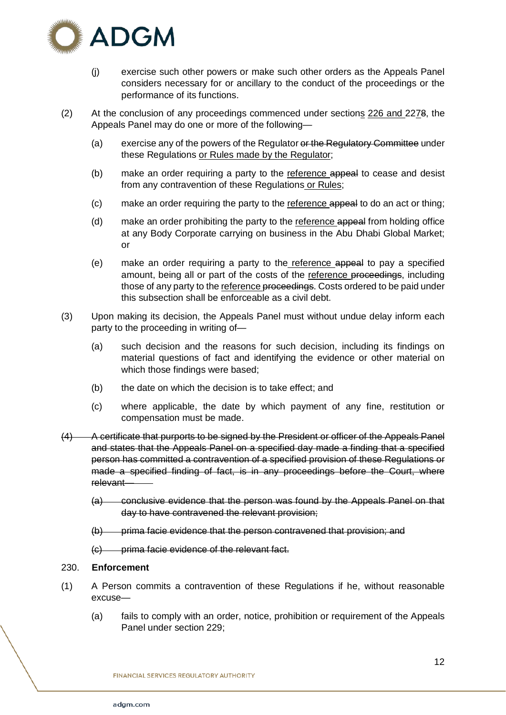

- (j) exercise such other powers or make such other orders as the Appeals Panel considers necessary for or ancillary to the conduct of the proceedings or the performance of its functions.
- (2) At the conclusion of any proceedings commenced under sections 226 and 2278, the Appeals Panel may do one or more of the following—
	- (a) exercise any of the powers of the Regulator or the Regulatory Committee under these Regulations or Rules made by the Regulator;
	- (b) make an order requiring a party to the reference appeal to cease and desist from any contravention of these Regulations or Rules;
	- (c) make an order requiring the party to the reference appeal to do an act or thing;
	- (d) make an order prohibiting the party to the reference appeal from holding office at any Body Corporate carrying on business in the Abu Dhabi Global Market; or
	- (e) make an order requiring a party to the reference appeal to pay a specified amount, being all or part of the costs of the reference proceedings, including those of any party to the reference proceedings. Costs ordered to be paid under this subsection shall be enforceable as a civil debt.
- (3) Upon making its decision, the Appeals Panel must without undue delay inform each party to the proceeding in writing of—
	- (a) such decision and the reasons for such decision, including its findings on material questions of fact and identifying the evidence or other material on which those findings were based;
	- (b) the date on which the decision is to take effect; and
	- (c) where applicable, the date by which payment of any fine, restitution or compensation must be made.
- (4) A certificate that purports to be signed by the President or officer of the Appeals Panel and states that the Appeals Panel on a specified day made a finding that a specified person has committed a contravention of a specified provision of these Regulations or made a specified finding of fact, is in any proceedings before the Court, where relevant—
	- (a) conclusive evidence that the person was found by the Appeals Panel on that day to have contravened the relevant provision;
	- (b) prima facie evidence that the person contravened that provision; and
	- (c) prima facie evidence of the relevant fact.

## 230. **Enforcement**

- (1) A Person commits a contravention of these Regulations if he, without reasonable excuse—
	- (a) fails to comply with an order, notice, prohibition or requirement of the Appeals Panel under section 229;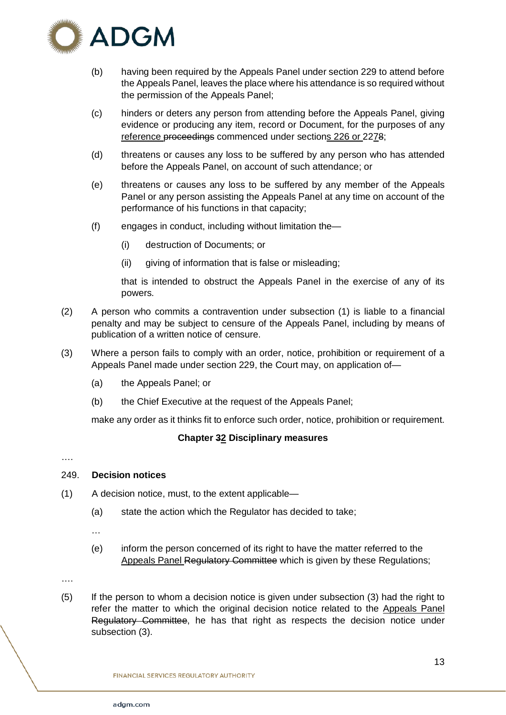

- (b) having been required by the Appeals Panel under section 229 to attend before the Appeals Panel, leaves the place where his attendance is so required without the permission of the Appeals Panel;
- (c) hinders or deters any person from attending before the Appeals Panel, giving evidence or producing any item, record or Document, for the purposes of any reference proceedings commenced under sections 226 or 2278;
- (d) threatens or causes any loss to be suffered by any person who has attended before the Appeals Panel, on account of such attendance; or
- (e) threatens or causes any loss to be suffered by any member of the Appeals Panel or any person assisting the Appeals Panel at any time on account of the performance of his functions in that capacity;
- (f) engages in conduct, including without limitation the—
	- (i) destruction of Documents; or
	- (ii) giving of information that is false or misleading;

that is intended to obstruct the Appeals Panel in the exercise of any of its powers.

- (2) A person who commits a contravention under subsection (1) is liable to a financial penalty and may be subject to censure of the Appeals Panel, including by means of publication of a written notice of censure.
- (3) Where a person fails to comply with an order, notice, prohibition or requirement of a Appeals Panel made under section 229, the Court may, on application of—
	- (a) the Appeals Panel; or
	- (b) the Chief Executive at the request of the Appeals Panel;

make any order as it thinks fit to enforce such order, notice, prohibition or requirement.

# **Chapter 32 Disciplinary measures**

#### ….

# 249. **Decision notices**

- (1) A decision notice, must, to the extent applicable—
	- (a) state the action which the Regulator has decided to take;
	- …
	- (e) inform the person concerned of its right to have the matter referred to the Appeals Panel Regulatory Committee which is given by these Regulations;

….

(5) If the person to whom a decision notice is given under subsection (3) had the right to refer the matter to which the original decision notice related to the Appeals Panel Regulatory Committee, he has that right as respects the decision notice under subsection (3).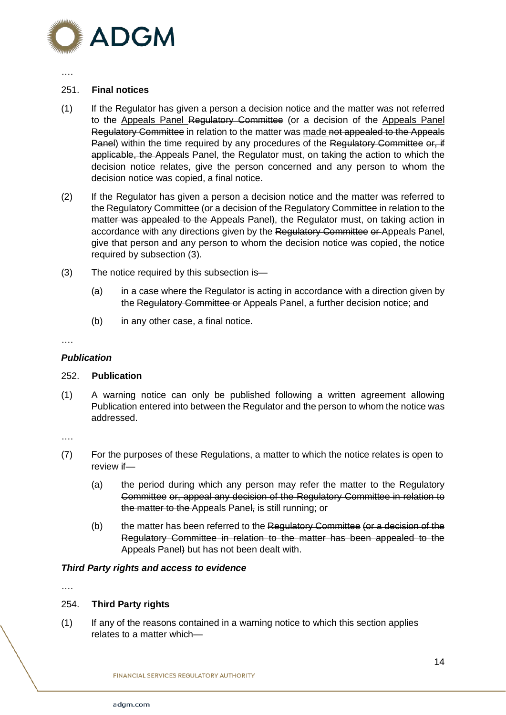

#### ….

# 251. **Final notices**

- (1) If the Regulator has given a person a decision notice and the matter was not referred to the Appeals Panel Regulatory Committee (or a decision of the Appeals Panel Regulatory Committee in relation to the matter was made not appealed to the Appeals Panel) within the time required by any procedures of the Regulatory Committee or, if applicable, the Appeals Panel, the Regulator must, on taking the action to which the decision notice relates, give the person concerned and any person to whom the decision notice was copied, a final notice.
- (2) If the Regulator has given a person a decision notice and the matter was referred to the Regulatory Committee (or a decision of the Regulatory Committee in relation to the matter was appealed to the Appeals Panel), the Regulator must, on taking action in accordance with any directions given by the Regulatory Committee or Appeals Panel, give that person and any person to whom the decision notice was copied, the notice required by subsection (3).
- (3) The notice required by this subsection is—
	- (a) in a case where the Regulator is acting in accordance with a direction given by the Regulatory Committee or Appeals Panel, a further decision notice; and
	- (b) in any other case, a final notice.

#### ….

# *Publication*

## 252. **Publication**

(1) A warning notice can only be published following a written agreement allowing Publication entered into between the Regulator and the person to whom the notice was addressed.

….

- (7) For the purposes of these Regulations, a matter to which the notice relates is open to review if—
	- (a) the period during which any person may refer the matter to the Regulatory Committee or, appeal any decision of the Regulatory Committee in relation to the matter to the Appeals Panel, is still running; or
	- (b) the matter has been referred to the Regulatory Committee (or a decision of the Regulatory Committee in relation to the matter has been appealed to the Appeals Panel) but has not been dealt with.

## *Third Party rights and access to evidence*

….

# 254. **Third Party rights**

(1) If any of the reasons contained in a warning notice to which this section applies relates to a matter which—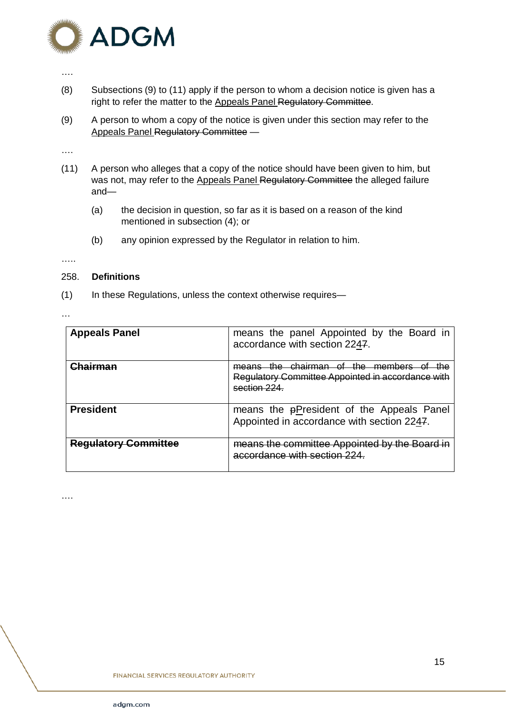

#### ….

- (8) Subsections (9) to (11) apply if the person to whom a decision notice is given has a right to refer the matter to the Appeals Panel Regulatory Committee.
- (9) A person to whom a copy of the notice is given under this section may refer to the Appeals Panel Regulatory Committee —

….

- (11) A person who alleges that a copy of the notice should have been given to him, but was not, may refer to the Appeals Panel Regulatory Committee the alleged failure and—
	- (a) the decision in question, so far as it is based on a reason of the kind mentioned in subsection (4); or
	- (b) any opinion expressed by the Regulator in relation to him.

…..

## 258. **Definitions**

(1) In these Regulations, unless the context otherwise requires—

…

….

| <b>Appeals Panel</b>        | means the panel Appointed by the Board in<br>accordance with section 2247.                                       |
|-----------------------------|------------------------------------------------------------------------------------------------------------------|
| hairman                     | means the chairman of the members of<br>the.<br>Regulatory Committee Appointed in accordance with<br>section 224 |
| <b>President</b>            | means the pPresident of the Appeals Panel<br>Appointed in accordance with section 2247.                          |
| <b>Requlatory Committee</b> | means the committee Appointed by the Board in<br>accordance with section 224                                     |